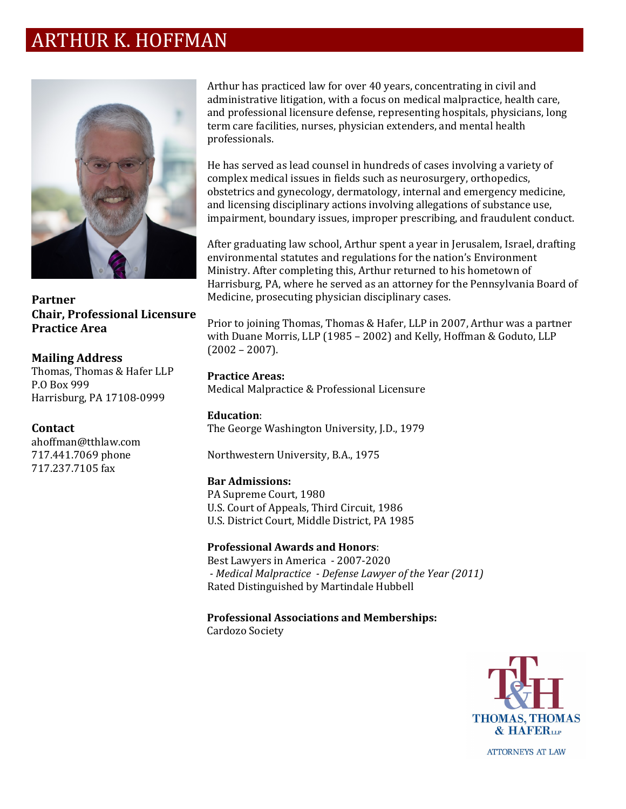# ARTHUR K. HOFFMAN



**Partner Chair, Professional Licensure Practice Area**

**Mailing Address** Thomas, Thomas & Hafer LLP P.O Box 999 Harrisburg, PA 17108‐0999

#### **Contact**

ahoffman@tthlaw.com 717.441.7069 phone 717.237.7105 fax

Arthur has practiced law for over 40 years, concentrating in civil and administrative litigation, with a focus on medical malpractice, health care, and professional licensure defense, representing hospitals, physicians, long term care facilities, nurses, physician extenders, and mental health professionals. 

He has served as lead counsel in hundreds of cases involving a variety of complex medical issues in fields such as neurosurgery, orthopedics, obstetrics and gynecology, dermatology, internal and emergency medicine, and licensing disciplinary actions involving allegations of substance use, impairment, boundary issues, improper prescribing, and fraudulent conduct. 

After graduating law school, Arthur spent a year in Jerusalem, Israel, drafting environmental statutes and regulations for the nation's Environment Ministry. After completing this, Arthur returned to his hometown of Harrisburg, PA, where he served as an attorney for the Pennsylvania Board of Medicine, prosecuting physician disciplinary cases.

Prior to joining Thomas, Thomas & Hafer, LLP in 2007, Arthur was a partner with Duane Morris, LLP (1985 – 2002) and Kelly, Hoffman & Goduto, LLP (2002 – 2007).

**Practice Areas:** Medical Malpractice & Professional Licensure

**Education**: The George Washington University, J.D., 1979 

Northwestern University, B.A., 1975

#### **Bar Admissions:**

PA Supreme Court, 1980 U.S. Court of Appeals, Third Circuit, 1986 U.S. District Court, Middle District, PA 1985 

## **Professional Awards and Honors**:

Best Lawyers in America - 2007-2020  *‐ Medical Malpractice ‐ Defense Lawyer of the Year (2011)* Rated Distinguished by Martindale Hubbell

## **Professional Associations and Memberships:**

Cardozo Society

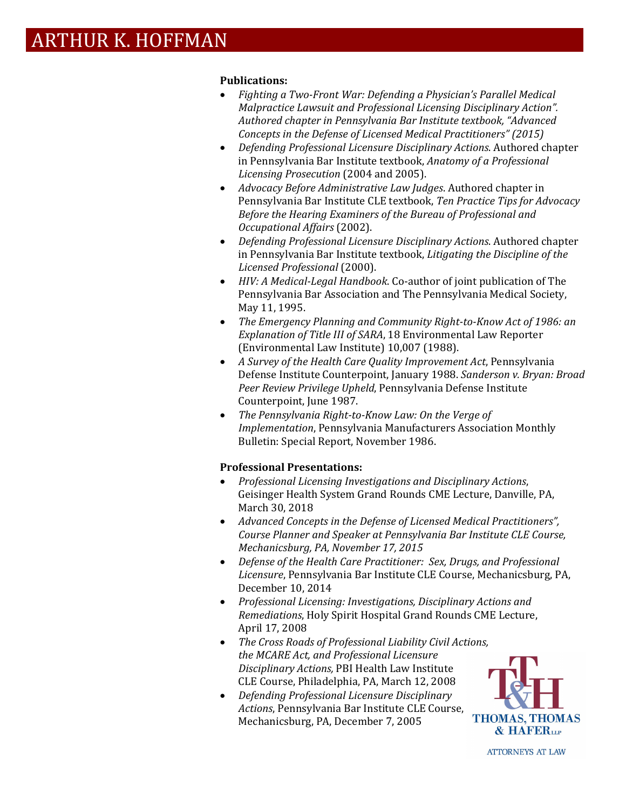## **Publications:**

- *Fighting a Two‐Front War: Defending a Physician's Parallel Medical Malpractice Lawsuit and Professional Licensing Disciplinary Action". Authored chapter in Pennsylvania Bar Institute textbook, "Advanced Concepts in the Defense of Licensed Medical Practitioners" (2015)*
- *Defending Professional Licensure Disciplinary Actions*. Authored chapter in Pennsylvania Bar Institute textbook, *Anatomy of a Professional Licensing Prosecution* (2004 and 2005).
- *Advocacy Before Administrative Law Judges*. Authored chapter in Pennsylvania Bar Institute CLE textbook, *Ten Practice Tips for Advocacy Before the Hearing Examiners of the Bureau of Professional and Occupational Affairs* (2002).
- *Defending Professional Licensure Disciplinary Actions*. Authored chapter in Pennsylvania Bar Institute textbook, *Litigating the Discipline of the Licensed Professional* (2000).
- *HIV: A Medical‐Legal Handbook*. Co‐author of joint publication of The Pennsylvania Bar Association and The Pennsylvania Medical Society, May 11, 1995.
- *The Emergency Planning and Community Right‐to‐Know Act of 1986: an Explanation of Title III of SARA*, 18 Environmental Law Reporter (Environmental Law Institute) 10,007 (1988).
- *A Survey of the Health Care Quality Improvement Act*, Pennsylvania Defense Institute Counterpoint, January 1988. *Sanderson v. Bryan: Broad Peer Review Privilege Upheld*, Pennsylvania Defense Institute Counterpoint, June 1987.
- *The Pennsylvania Right‐to‐Know Law: On the Verge of Implementation*, Pennsylvania Manufacturers Association Monthly Bulletin: Special Report, November 1986.

## **Professional Presentations:**

- *Professional Licensing Investigations and Disciplinary Actions*, Geisinger Health System Grand Rounds CME Lecture, Danville, PA, March 30, 2018
- *Advanced Concepts in the Defense of Licensed Medical Practitioners", Course Planner and Speaker at Pennsylvania Bar Institute CLE Course, Mechanicsburg, PA, November 17, 2015*
- *Defense of the Health Care Practitioner: Sex, Drugs, and Professional Licensure*, Pennsylvania Bar Institute CLE Course, Mechanicsburg, PA, December 10, 2014
- *Professional Licensing: Investigations, Disciplinary Actions and Remediations*, Holy Spirit Hospital Grand Rounds CME Lecture, April 17, 2008
- *The Cross Roads of Professional Liability Civil Actions, the MCARE Act, and Professional Licensure Disciplinary Actions,* PBI Health Law Institute CLE Course, Philadelphia, PA, March 12, 2008
- *Defending Professional Licensure Disciplinary Actions*, Pennsylvania Bar Institute CLE Course, Mechanicsburg, PA, December 7, 2005

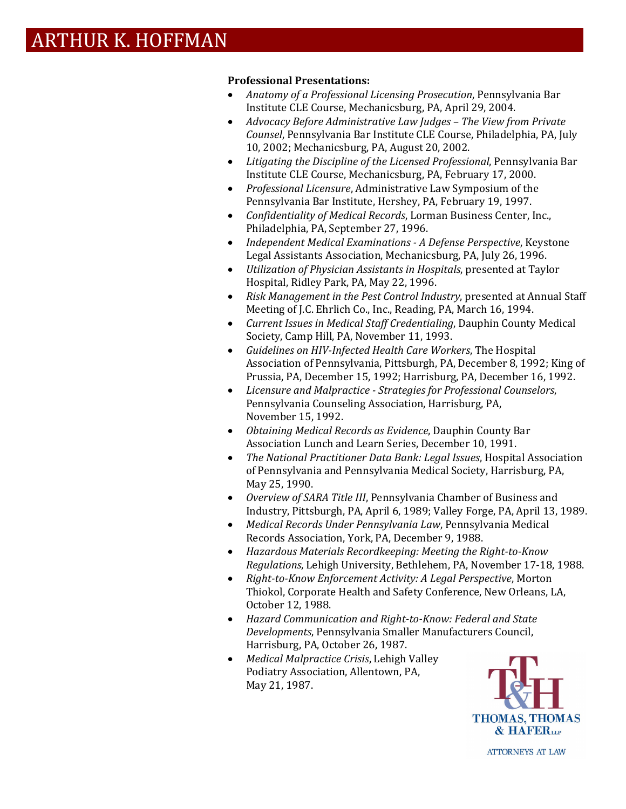## **Professional Presentations:**

- *Anatomy of a Professional Licensing Prosecution*, Pennsylvania Bar Institute CLE Course, Mechanicsburg, PA, April 29, 2004.
- *Advocacy Before Administrative Law Judges – The View from Private Counsel*, Pennsylvania Bar Institute CLE Course, Philadelphia, PA, July 10, 2002; Mechanicsburg, PA, August 20, 2002.
- *Litigating the Discipline of the Licensed Professional*, Pennsylvania Bar Institute CLE Course, Mechanicsburg, PA, February 17, 2000.
- *Professional Licensure*, Administrative Law Symposium of the Pennsylvania Bar Institute, Hershey, PA, February 19, 1997.
- *Confidentiality of Medical Records*, Lorman Business Center, Inc., Philadelphia, PA, September 27, 1996.
- *Independent Medical Examinations ‐ A Defense Perspective*, Keystone Legal Assistants Association, Mechanicsburg, PA, July 26, 1996.
- *Utilization of Physician Assistants in Hospitals*, presented at Taylor Hospital, Ridley Park, PA, May 22, 1996.
- *Risk Management in the Pest Control Industry*, presented at Annual Staff Meeting of J.C. Ehrlich Co., Inc., Reading, PA, March 16, 1994.
- *Current Issues in Medical Staff Credentialing*, Dauphin County Medical Society, Camp Hill, PA, November 11, 1993.
- *Guidelines on HIV‐Infected Health Care Workers*, The Hospital Association of Pennsylvania, Pittsburgh, PA, December 8, 1992; King of Prussia, PA, December 15, 1992; Harrisburg, PA, December 16, 1992.
- *Licensure and Malpractice ‐ Strategies for Professional Counselors*, Pennsylvania Counseling Association, Harrisburg, PA, November 15, 1992.
- *Obtaining Medical Records as Evidence*, Dauphin County Bar Association Lunch and Learn Series, December 10, 1991.
- *The National Practitioner Data Bank: Legal Issues*, Hospital Association of Pennsylvania and Pennsylvania Medical Society, Harrisburg, PA, May 25, 1990.
- *Overview of SARA Title III*, Pennsylvania Chamber of Business and Industry, Pittsburgh, PA, April 6, 1989; Valley Forge, PA, April 13, 1989.
- *Medical Records Under Pennsylvania Law*, Pennsylvania Medical Records Association, York, PA, December 9, 1988.
- *Hazardous Materials Recordkeeping: Meeting the Right‐to‐Know Regulations*, Lehigh University, Bethlehem, PA, November 17‐18, 1988.
- *Right‐to‐Know Enforcement Activity: A Legal Perspective*, Morton Thiokol, Corporate Health and Safety Conference, New Orleans, LA, October 12, 1988.
- *Hazard Communication and Right‐to‐Know: Federal and State Developments*, Pennsylvania Smaller Manufacturers Council, Harrisburg, PA, October 26, 1987.
- *Medical Malpractice Crisis*, Lehigh Valley Podiatry Association, Allentown, PA, May 21, 1987.